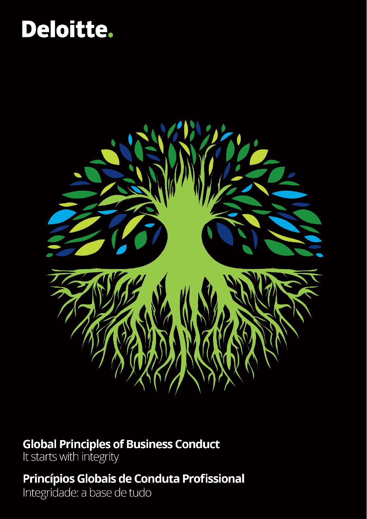# Deloitte.



### **Global Principles of Business Conduct**

It starts with integrity

### Princípios Globais de Conduta Profissional

Integridade: a base de tudo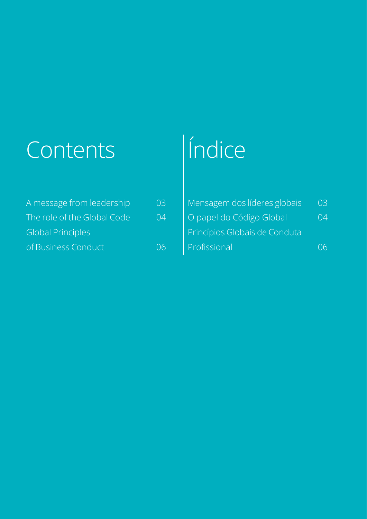# Contents (Índice

| A message from leadership   | 03 |
|-----------------------------|----|
| The role of the Global Code | 04 |
| <b>Global Principles</b>    |    |
| of Business Conduct         | 06 |

| 03 | Mensagem dos líderes globais  | 03 |
|----|-------------------------------|----|
| 04 | O papel do Código Global      | 04 |
|    | Princípios Globais de Conduta |    |
| 06 | Profissional                  |    |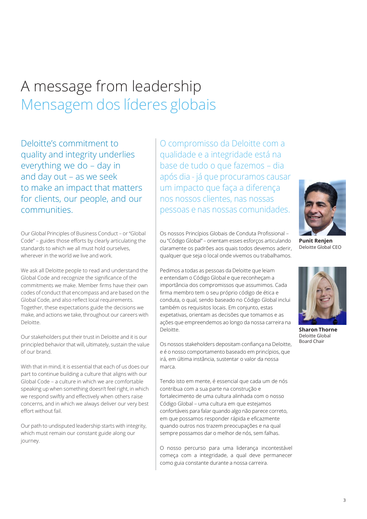### A message from leadership Mensagem dos líderes globais

Deloitte's commitment to quality and integrity underlies everything we do – day in and day out – as we seek to make an impact that matters for clients, our people, and our communities.

Our Global Principles of Business Conduct – or "Global Code" – guides those efforts by clearly articulating the standards to which we all must hold ourselves, wherever in the world we live and work.

We ask all Deloitte people to read and understand the Global Code and recognize the significance of the commitments we make. Member firms have their own codes of conduct that encompass and are based on the Global Code, and also reflect local requirements. Together, these expectations guide the decisions we make, and actions we take, throughout our careers with Deloitte.

Our stakeholders put their trust in Deloitte and it is our principled behavior that will, ultimately, sustain the value of our brand.

With that in mind, it is essential that each of us does our  $\parallel$  marca. part to continue building a culture that aligns with our Global Code – a culture in which we are comfortable speaking up when something doesn't feel right, in which we respond swiftly and effectively when others raise concerns, and in which we always deliver our very best effort without fail.

Our path to undisputed leadership starts with integrity, which must remain our constant guide along our journey.

O compromisso da Deloitte com a qualidade e a integridade está na base de tudo o que fazemos – dia após dia - já que procuramos causar um impacto que faça a diferença nos nossos clientes, nas nossas pessoas e nas nossas comunidades.



**Punit Renjen** Deloitte Global CEO



Pedimos a todas as pessoas da Deloitte que leiam e entendam o Código Global e que reconheçam a importância dos compromissos que assumimos. Cada firma membro tem o seu próprio código de ética e conduta, o qual, sendo baseado no Código Global inclui também os requisitos locais. Em conjunto, estas expetativas, orientam as decisões que tomamos e as ações que empreendemos ao longo da nossa carreira na Deloitte. **Sharon Thorne**

Os nossos stakeholders depositam confiança na Deloitte, e é o nosso comportamento baseado em princípios, que irá, em última instância, sustentar o valor da nossa

Tendo isto em mente, é essencial que cada um de nós contribua com a sua parte na construção e fortalecimento de uma cultura alinhada com o nosso Código Global – uma cultura em que estejamos confortáveis para falar quando algo não parece correto, em que possamos responder rápida e eficazmente quando outros nos trazem preocupações e na qual sempre possamos dar o melhor de nós, sem falhas.

O nosso percurso para uma liderança incontestável começa com a integridade, a qual deve permanecer como guia constante durante a nossa carreira.



Deloitte Global Board Chair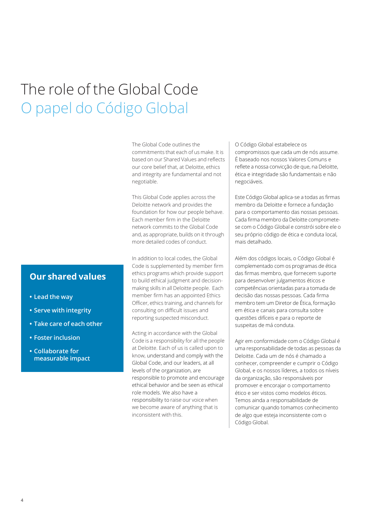### The role of the Global Code O papel do Código Global

The Global Code outlines the commitments that each of us make. It is based on our Shared Values and reflects our core belief that, at Deloitte, ethics and integrity are fundamental and not negotiable.

This Global Code applies across the Deloitte network and provides the foundation for how our people behave. Each member firm in the Deloitte network commits to the Global Code and, as appropriate, builds on it through more detailed codes of conduct.

In addition to local codes, the Global Code is supplemented by member firm ethics programs which provide support to build ethical judgment and decisionmaking skills in all Deloitte people. Each member firm has an appointed Ethics Officer, ethics training, and channels for consulting on difficult issues and reporting suspected misconduct.

Acting in accordance with the Global Code is a responsibility for all the people at Deloitte. Each of us is called upon to know, understand and comply with the Global Code, and our leaders, at all levels of the organization, are responsible to promote and encourage ethical behavior and be seen as ethical role models. We also have a responsibility to raise our voice when we become aware of anything that is inconsistent with this.

O Código Global estabelece os compromissos que cada um de nós assume. É baseado nos nossos Valores Comuns e reflete a nossa convicção de que, na Deloitte, ética e integridade são fundamentais e não negociáveis.

Este Código Global aplica-se a todas as firmas membro da Deloitte e fornece a fundação para o comportamento das nossas pessoas. Cada firma membro da Deloitte comprometese com o Código Global e constrói sobre ele o seu próprio código de ética e conduta local, mais detalhado.

Além dos códigos locais, o Código Global é complementado com os programas de ética das firmas membro, que fornecem suporte para desenvolver julgamentos éticos e competências orientadas para a tomada de decisão das nossas pessoas. Cada firma membro tem um Diretor de Ética, formação em ética e canais para consulta sobre questões difíceis e para o reporte de suspeitas de má conduta.

Agir em conformidade com o Código Global é uma responsabilidade de todas as pessoas da Deloitte. Cada um de nós é chamado a conhecer, compreender e cumprir o Código Global, e os nossos líderes, a todos os níveis da organização, são responsáveis por promover e encorajar o comportamento ético e ser vistos como modelos éticos. Temos ainda a responsabilidade de comunicar quando tomamos conhecimento de algo que esteja inconsistente com o Código Global.

#### **Our shared values**

- **• Lead the way**
- **• Serve with integrity**
- **• Take care of each other**
- **• Foster inclusion**
- **• Collaborate for measurable impact**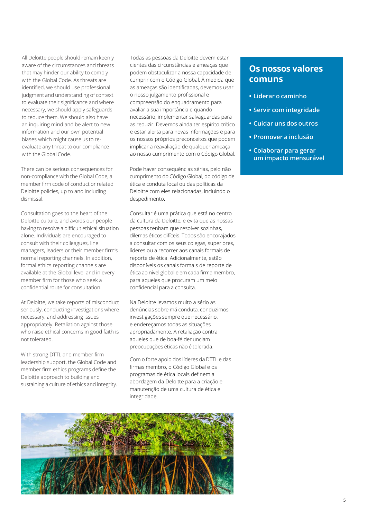All Deloitte people should remain keenly aware of the circumstances and threats that may hinder our ability to comply with the Global Code. As threats are identified, we should use professional judgment and understanding of context to evaluate their significance and where necessary, we should apply safeguards to reduce them. We should also have an inquiring mind and be alert to new information and our own potential biases which might cause us to reevaluate any threat to our compliance with the Global Code.

There can be serious consequences for non-compliance with the Global Code, a member firm code of conduct or related Deloitte policies, up to and including dismissal.

Consultation goes to the heart of the Deloitte culture, and avoids our people having to resolve a difficult ethical situation alone. Individuals are encouraged to consult with their colleagues, line managers, leaders or their member firm's normal reporting channels. In addition, formal ethics reporting channels are available at the Global level and in every member firm for those who seek a confidential route for consultation.

At Deloitte, we take reports of misconduct seriously, conducting investigations where necessary, and addressing issues appropriately. Retaliation against those who raise ethical concerns in good faith is not tolerated.

With strong DTTL and member firm leadership support, the Global Code and member firm ethics programs define the Deloitte approach to building and sustaining a culture of ethics and integrity. Todas as pessoas da Deloitte devem estar cientes das circunstâncias e ameaças que podem obstaculizar a nossa capacidade de cumprir com o Código Global. À medida que as ameaças são identificadas, devemos usar o nosso julgamento profissional e compreensão do enquadramento para avaliar a sua importância e quando necessário, implementar salvaguardas para as reduzir. Devemos ainda ter espírito crítico e estar alerta para novas informações e para os nossos próprios preconceitos que podem implicar a reavaliação de qualquer ameaça ao nosso cumprimento com o Código Global.

Pode haver consequências sérias, pelo não cumprimento do Código Global, do código de ética e conduta local ou das políticas da Deloitte com eles relacionadas, incluindo o despedimento.

Consultar é uma prática que está no centro da cultura da Deloitte, e evita que as nossas pessoas tenham que resolver sozinhas, dilemas éticos difíceis. Todos são encorajados a consultar com os seus colegas, superiores, líderes ou a recorrer aos canais formais de reporte de ética. Adicionalmente, estão disponíveis os canais formais de reporte de ética ao nível global e em cada firma membro, para aqueles que procuram um meio confidencial para a consulta.

Na Deloitte levamos muito a sério as denúncias sobre má conduta, conduzimos investigações sempre que necessário, e endereçamos todas as situações apropriadamente. A retaliação contra aqueles que de boa-fé denunciam preocupações éticas não é tolerada.

Com o forte apoio dos líderes da DTTL e das firmas membro, o Código Global e os programas de ética locais definem a abordagem da Deloitte para a criação e manutenção de uma cultura de ética e integridade.



#### **Os nossos valores comuns**

- **• Liderar o caminho**
- **• Servir com integridade**
- **• Cuidar uns dos outros**
- **• Promover a inclusão**
- **• Colaborar para gerar um impacto mensurável**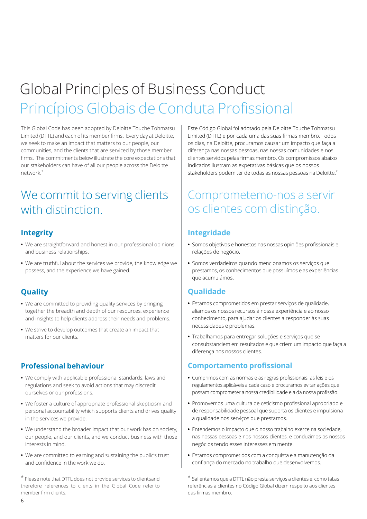## Global Principles of Business Conduct Princípios Globais de Conduta Profissional

This Global Code has been adopted by Deloitte Touche Tohmatsu Limited (DTTL) and each of its member firms. Every day at Deloitte, we seek to make an impact that matters to our people, our communities, and the clients that are serviced by those member firms. The commitments below illustrate the core expectations that our stakeholders can have of all our people across the Deloitte network.\*

### We commit to serving clients with distinction.

#### **Integrity**

- **•** We are straightforward and honest in our professional opinions and business relationships.
- **•** We are truthful about the services we provide, the knowledge we possess, and the experience we have gained.

#### **Quality**

- **•** We are committed to providing quality services by bringing together the breadth and depth of our resources, experience and insights to help clients address their needs and problems.
- **•** We strive to develop outcomes that create an impact that matters for our clients.

#### **Professional behaviour**

- **•** We comply with applicable professional standards, laws and regulations and seek to avoid actions that may discredit ourselves or our professions.
- **•** We foster a culture of appropriate professional skepticism and personal accountability which supports clients and drives quality in the services we provide.
- **•** We understand the broader impact that our work has on society, our people, and our clients, and we conduct business with those interests in mind.
- **•** We are committed to earning and sustaining the public's trust and confidence in the work we do.

\* Please note that DTTL does not provide services to clientsand therefore references to clients in the Global Code refer to member firm clients.

Este Código Global foi adotado pela Deloitte Touche Tohmatsu Limited (DTTL) e por cada uma das suas firmas membro. Todos os dias, na Deloitte, procuramos causar um impacto que faça a diferença nas nossas pessoas, nas nossas comunidades e nos clientes servidos pelas firmas membro. Os compromissos abaixo indicados ilustram as expetativas básicas que os nossos stakeholders podem ter de todas as nossas pessoas na Deloitte.\*

### Comprometemo-nos a servir os clientes com distinção.

#### **Integridade**

- **•** Somos objetivos e honestos nas nossas opiniões profissionais e relações de negócio.
- **•** Somos verdadeiros quando mencionamos os serviços que prestamos, os conhecimentos que possuímos e as experiências que acumulámos.

#### **Qualidade**

- **•** Estamos comprometidos em prestar serviços de qualidade, aliamos os nossos recursos à nossa experiência e ao nosso conhecimento, para ajudar os clientes a responder às suas necessidades e problemas.
- **•** Trabalhamos para entregar soluções e serviços que se consubstanciem em resultados e que criem um impacto que faça a diferença nos nossos clientes.

#### **Comportamento profissional**

- **•** Cumprimos com as normas e as regras profissionais, as leis e os regulamentos aplicáveis a cada caso e procuramos evitar ações que possam comprometer a nossa credibilidade e a da nossa profissão.
- **•** Promovemos uma cultura de ceticismo profissional apropriado e de responsabilidade pessoal que suporta os clientes e impulsiona a qualidade nos serviços que prestamos.
- **•** Entendemos o impacto que o nosso trabalho exerce na sociedade, nas nossas pessoas e nos nossos clientes, e conduzimos os nossos negócios tendo esses interesses em mente.
- **•** Estamos comprometidos com a conquista e a manutenção da confiança do mercado no trabalho que desenvolvemos.

\* Salientamos que a DTTL não presta serviços a clientes e, como tal,as referências a clientes no Código Global dizem respeito aos clientes das firmas membro.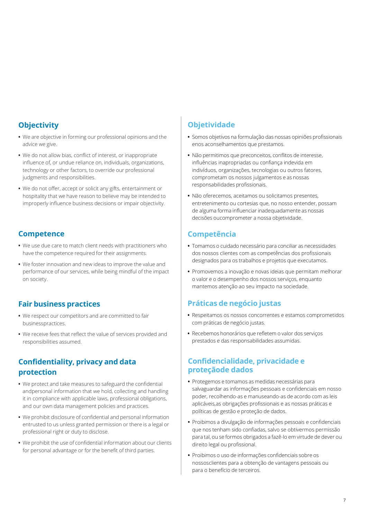#### **Objectivity**

- **•** We are objective in forming our professional opinions and the advice we give.
- **•** We do not allow bias, conflict of interest, or inappropriate influence of, or undue reliance on, individuals, organizations, technology or other factors, to override our professional judgments and responsibilities.
- **•** We do not offer, accept or solicit any gifts, entertainment or hospitality that we have reason to believe may be intended to improperly influence business decisions or impair objectivity.

#### **Competence**

- **•** We use due care to match client needs with practitioners who have the competence required for their assignments.
- **•** We foster innovation and new ideas to improve the value and performance of our services, while being mindful of the impact on society.

#### **Fair business practices**

- **•** We respect our competitors and are committed to fair businesspractices.
- **•** We receive fees that reflect the value of services provided and responsibilities assumed.

#### **Confidentiality, privacy and data protection**

- **•** We protect and take measures to safeguard the confidential andpersonal information that we hold, collecting and handling it in compliance with applicable laws, professional obligations, and our own data management policies and practices.
- **•** We prohibit disclosure of confidential and personal information entrusted to us unless granted permission or there is a legal or professional right or duty to disclose.
- **•** We prohibit the use of confidential information about our clients for personal advantage or for the benefit of third parties.

### **Objetividade**

- **•** Somos objetivos na formulação das nossas opiniões profissionais enos aconselhamentos que prestamos.
- **•** Não permitimos que preconceitos, conflitos de interesse, influências inapropriadas ou confiança indevida em indivíduos, organizações, tecnologias ou outros fatores, comprometam os nossos julgamentos e as nossas responsabilidades profissionais.
- **•** Não oferecemos, aceitamos ou solicitamos presentes, entretenimento ou cortesias que, no nosso entender, possam de alguma forma influenciar inadequadamente as nossas decisões oucomprometer a nossa objetividade.

#### **Competência**

- **•** Tomamos o cuidado necessário para conciliar as necessidades dos nossos clientes com as competências dos profissionais designados para os trabalhos e projetos que executamos.
- **•** Promovemos a inovação e novas ideias que permitam melhorar o valor e o desempenho dos nossos serviços, enquanto mantemos atenção ao seu impacto na sociedade.

#### **Práticas de negócio justas**

- **•** Respeitamos os nossos concorrentes e estamos comprometidos com práticas de negócio justas.
- **•** Recebemos honorários que refletem o valor dos serviços prestados e das responsabilidades assumidas.

#### **Confidencialidade, privacidade e proteçãode dados**

- **•** Protegemos e tomamos as medidas necessárias para salvaguardar as informações pessoais e confidenciais em nosso poder, recolhendo-as e manuseando-as de acordo com as leis aplicáveis,as obrigações profissionais e as nossas práticas e políticas de gestão e proteção de dados.
- **•** Proibimos a divulgação de informações pessoais e confidenciais que nos tenham sido confiadas, salvo se obtivermos permissão para tal, ou se formos obrigados a fazê-lo em virtude de dever ou direito legal ou profissional.
- **•** Proibimos o uso de informações confidenciais sobre os nossosclientes para a obtenção de vantagens pessoais ou para o benefício de terceiros.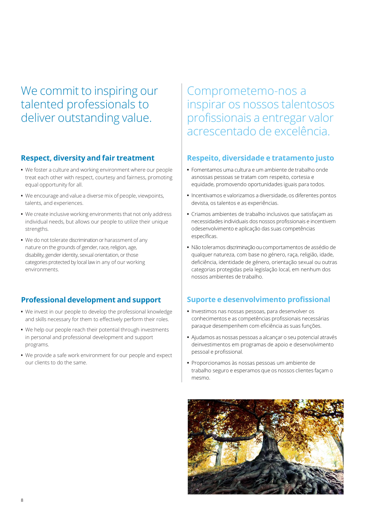We commit to inspiring our talented professionals to deliver outstanding value.

#### **Respect, diversity and fair treatment**

- **•** We foster a culture and working environment where our people treat each other with respect, courtesy and fairness, promoting equal opportunity for all.
- **•** We encourage and value a diverse mix of people, viewpoints, talents, and experiences.
- **•** We create inclusive working environments that not only address individual needs, but allows our people to utilize their unique strengths.
- **•** We do not tolerate discrimination or harassment of any nature on the grounds of gender, race, religion, age, disability, gender identity, sexual orientation, or those categories protected by local law in any of our working environments.

#### **Professional development and support**

- **•** We invest in our people to develop the professional knowledge and skills necessary for them to effectively perform their roles.
- **•** We help our people reach their potential through investments in personal and professional development and support programs.
- **•** We provide a safe work environment for our people and expect our clients to do the same.

### Comprometemo-nos a inspirar os nossos talentosos profissionais a entregar valor acrescentado de excelência.

#### **Respeito, diversidade e tratamento justo**

- **•** Fomentamos uma cultura e um ambiente de trabalho onde asnossas pessoas se tratam com respeito, cortesia e equidade, promovendo oportunidades iguais para todos.
- **•** Incentivamos e valorizamos a diversidade, os diferentes pontos devista, os talentos e as experiências.
- **•** Criamos ambientes de trabalho inclusivos que satisfaçam as necessidades individuais dos nossos profissionais e incentivem odesenvolvimento e aplicação das suas competências específicas.
- **•** Não toleramos discriminação ou comportamentos de assédio de qualquer natureza, com base no género, raça, religião, idade, deficiência, identidade de género, orientação sexual ou outras categorias protegidas pela legislação local, em nenhum dos nossos ambientes de trabalho.

#### **Suporte e desenvolvimento profissional**

- **•** Investimos nas nossas pessoas, para desenvolver os conhecimentos e as competências profissionais necessárias paraque desempenhem com eficiência as suas funções.
- **•** Ajudamos as nossas pessoas a alcançar o seu potencial através deinvestimentos em programas de apoio e desenvolvimento pessoal e profissional.
- **•** Proporcionamos às nossas pessoas um ambiente de trabalho seguro e esperamos que os nossos clientes façam o mesmo.

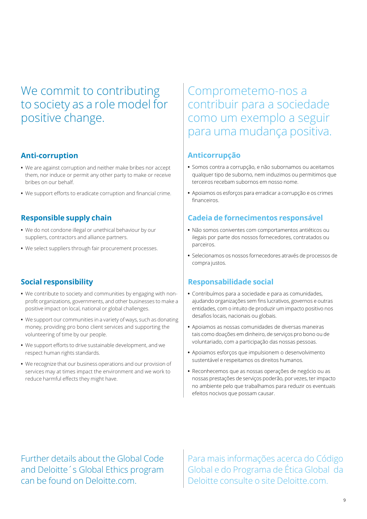### We commit to contributing to society as a role model for positive change.

#### **Anti-corruption**

- **•** We are against corruption and neither make bribes nor accept them, nor induce or permit any other party to make or receive bribes on our behalf.
- **•** We support efforts to eradicate corruption and financial crime.

#### **Responsible supply chain**

- **•** We do not condone illegal or unethical behaviour by our suppliers, contractors and alliance partners.
- **•** We select suppliers through fair procurement processes.

#### **Social responsibility**

- **•** We contribute to society and communities by engaging with nonprofit organizations, governments, and other businesses to make a positive impact on local, national or global challenges.
- **•** We support our communities in a variety of ways, such as donating money, providing pro bono client services and supporting the volunteering of time by our people.
- **•** We support efforts to drive sustainable development, and we respect human rights standards.
- **•** We recognize that our business operations and our provision of services may at times impact the environment and we work to reduce harmful effects they might have.

### Comprometemo-nos a contribuir para a sociedade como um exemplo a seguir para uma mudança positiva.

#### **Anticorrupção**

- **•** Somos contra a corrupção, e não subornamos ou aceitamos qualquer tipo de suborno, nem induzimos ou permitimos que terceiros recebam subornos em nosso nome.
- **•** Apoiamos os esforços para erradicar a corrupção e os crimes financeiros.

#### **Cadeia de fornecimentos responsável**

- **•** Não somos coniventes com comportamentos antiéticos ou ilegais por parte dos nossos fornecedores, contratados ou parceiros.
- **•** Selecionamos os nossos fornecedores através de processos de compra justos.

#### **Responsabilidade social**

- **•** Contribuímos para a sociedade e para as comunidades, ajudando organizações sem fins lucrativos, governos e outras entidades, com o intuito de produzir um impacto positivo nos desafios locais, nacionais ou globais.
- **•** Apoiamos as nossas comunidades de diversas maneiras tais como doações em dinheiro, de serviços pro bono ou de voluntariado, com a participação das nossas pessoas.
- **•** Apoiamos esforços que impulsionem o desenvolvimento sustentável e respeitamos os direitos humanos.
- **•** Reconhecemos que as nossas operações de negócio ou as nossas prestações de serviços poderão, por vezes, ter impacto no ambiente pelo que trabalhamos para reduzir os eventuais efeitos nocivos que possam causar.

Further details about the Global Code and Deloitte´s Global Ethics program can be found on Deloitte.com.

Para mais informações acerca do Código Global e do Programa de Ética Global da Deloitte consulte o site Deloitte.com.